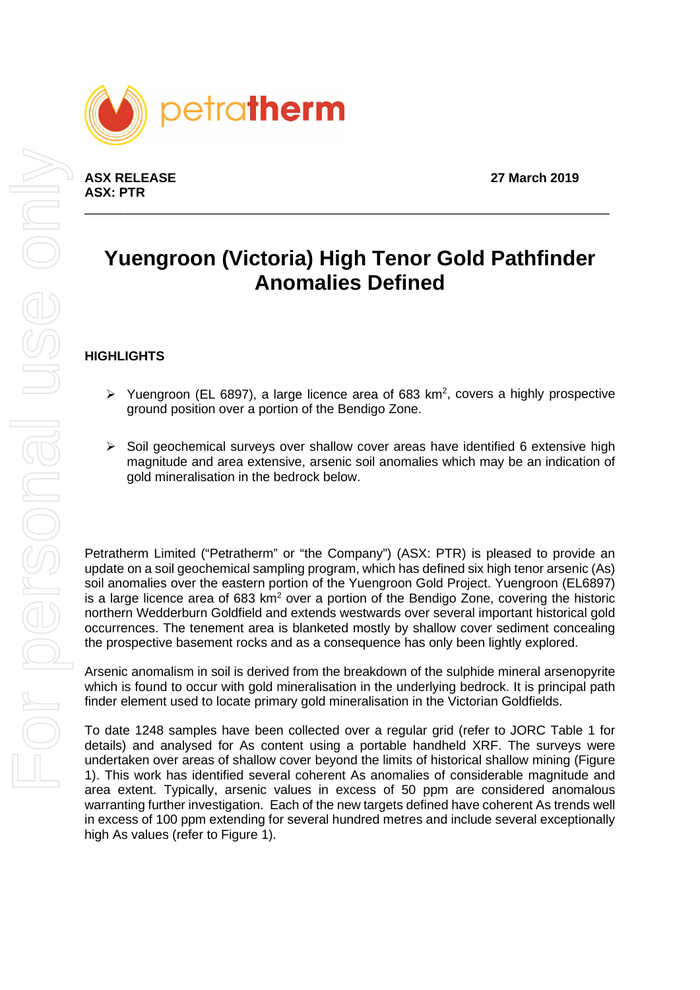

**ASX RELEASE 27 March 2019 ASX: PTR**

# **Yuengroon (Victoria) High Tenor Gold Pathfinder Anomalies Defined**

\_\_\_\_\_\_\_\_\_\_\_\_\_\_\_\_\_\_\_\_\_\_\_\_\_\_\_\_\_\_\_\_\_\_\_\_\_\_\_\_\_\_\_\_\_\_\_\_\_\_\_\_\_\_\_\_\_\_\_\_\_\_\_\_\_\_\_\_\_\_\_\_\_

### **HIGHLIGHTS**

- $\triangleright$  Yuengroon (EL 6897), a large licence area of 683 km<sup>2</sup>, covers a highly prospective ground position over a portion of the Bendigo Zone.
- $\triangleright$  Soil geochemical surveys over shallow cover areas have identified 6 extensive high magnitude and area extensive, arsenic soil anomalies which may be an indication of gold mineralisation in the bedrock below.

Petratherm Limited ("Petratherm" or "the Company") (ASX: PTR) is pleased to provide an update on a soil geochemical sampling program, which has defined six high tenor arsenic (As) soil anomalies over the eastern portion of the Yuengroon Gold Project. Yuengroon (EL6897) is a large licence area of 683  $km<sup>2</sup>$  over a portion of the Bendigo Zone, covering the historic northern Wedderburn Goldfield and extends westwards over several important historical gold occurrences. The tenement area is blanketed mostly by shallow cover sediment concealing the prospective basement rocks and as a consequence has only been lightly explored.

Arsenic anomalism in soil is derived from the breakdown of the sulphide mineral arsenopyrite which is found to occur with gold mineralisation in the underlying bedrock. It is principal path finder element used to locate primary gold mineralisation in the Victorian Goldfields.

To date 1248 samples have been collected over a regular grid (refer to JORC Table 1 for details) and analysed for As content using a portable handheld XRF. The surveys were undertaken over areas of shallow cover beyond the limits of historical shallow mining (Figure 1). This work has identified several coherent As anomalies of considerable magnitude and area extent. Typically, arsenic values in excess of 50 ppm are considered anomalous warranting further investigation. Each of the new targets defined have coherent As trends well in excess of 100 ppm extending for several hundred metres and include several exceptionally high As values (refer to Figure 1).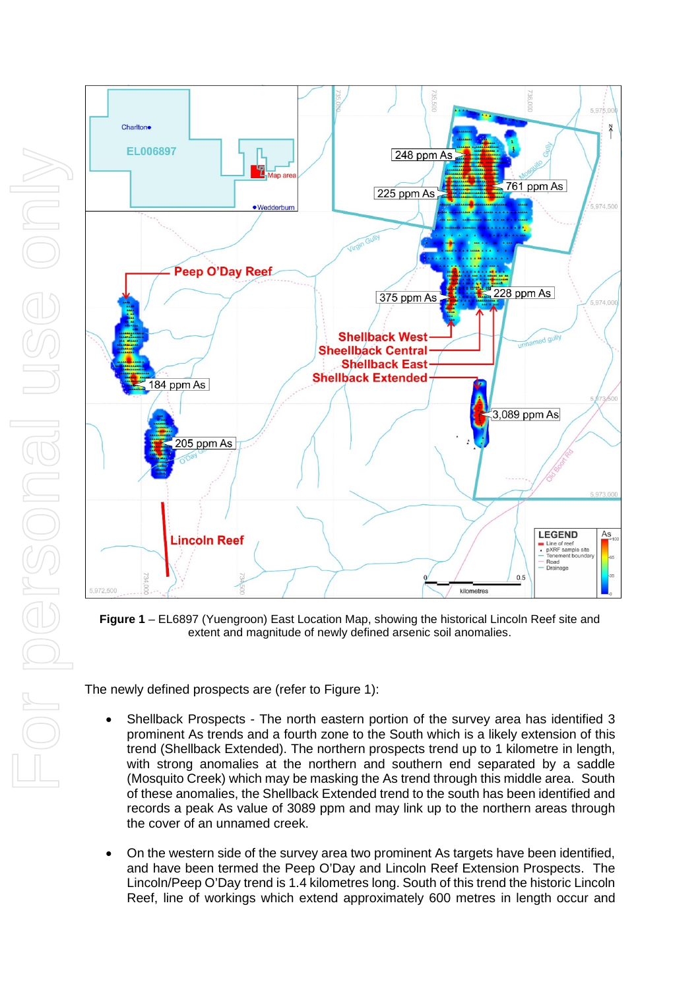

**Figure 1** – EL6897 (Yuengroon) East Location Map, showing the historical Lincoln Reef site and extent and magnitude of newly defined arsenic soil anomalies.

The newly defined prospects are (refer to Figure 1):

- Shellback Prospects The north eastern portion of the survey area has identified 3 prominent As trends and a fourth zone to the South which is a likely extension of this trend (Shellback Extended). The northern prospects trend up to 1 kilometre in length, with strong anomalies at the northern and southern end separated by a saddle (Mosquito Creek) which may be masking the As trend through this middle area. South of these anomalies, the Shellback Extended trend to the south has been identified and records a peak As value of 3089 ppm and may link up to the northern areas through the cover of an unnamed creek.
- On the western side of the survey area two prominent As targets have been identified, and have been termed the Peep O'Day and Lincoln Reef Extension Prospects. The Lincoln/Peep O'Day trend is 1.4 kilometres long. South of this trend the historic Lincoln Reef, line of workings which extend approximately 600 metres in length occur and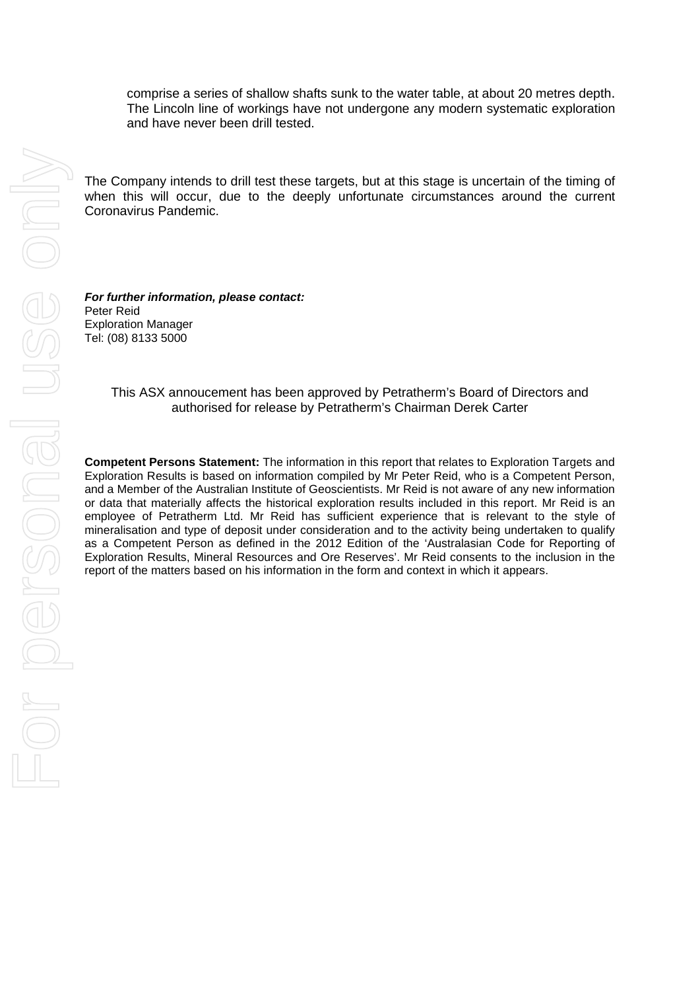comprise a series of shallow shafts sunk to the water table, at about 20 metres depth. The Lincoln line of workings have not undergone any modern systematic exploration and have never been drill tested.

The Company intends to drill test these targets, but at this stage is uncertain of the timing of when this will occur, due to the deeply unfortunate circumstances around the current Coronavirus Pandemic.

*For further information, please contact:* Peter Reid Exploration Manager Tel: (08) 8133 5000

#### This ASX annoucement has been approved by Petratherm's Board of Directors and authorised for release by Petratherm's Chairman Derek Carter

**Competent Persons Statement:** The information in this report that relates to Exploration Targets and Exploration Results is based on information compiled by Mr Peter Reid, who is a Competent Person, and a Member of the Australian Institute of Geoscientists. Mr Reid is not aware of any new information or data that materially affects the historical exploration results included in this report. Mr Reid is an employee of Petratherm Ltd. Mr Reid has sufficient experience that is relevant to the style of mineralisation and type of deposit under consideration and to the activity being undertaken to qualify as a Competent Person as defined in the 2012 Edition of the 'Australasian Code for Reporting of Exploration Results, Mineral Resources and Ore Reserves'. Mr Reid consents to the inclusion in the report of the matters based on his information in the form and context in which it appears.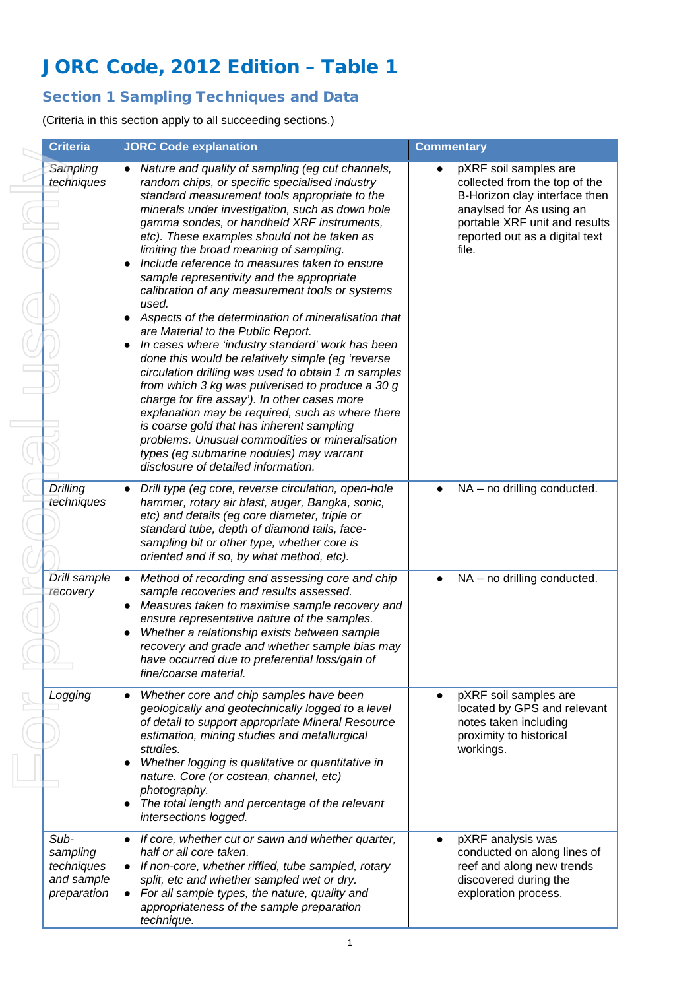# JORC Code, 2012 Edition – Table 1

## Section 1 Sampling Techniques and Data

(Criteria in this section apply to all succeeding sections.)

|  | <b>Criteria</b>                                             | <b>JORC Code explanation</b>                                                                                                                                                                                                                                                                                                                                                                                                                                                                                                                                                                                                                                                                                                                                                                                                                                                                                                                                                                                                                                                                                                               | <b>Commentary</b>                                                                                                                                                                               |
|--|-------------------------------------------------------------|--------------------------------------------------------------------------------------------------------------------------------------------------------------------------------------------------------------------------------------------------------------------------------------------------------------------------------------------------------------------------------------------------------------------------------------------------------------------------------------------------------------------------------------------------------------------------------------------------------------------------------------------------------------------------------------------------------------------------------------------------------------------------------------------------------------------------------------------------------------------------------------------------------------------------------------------------------------------------------------------------------------------------------------------------------------------------------------------------------------------------------------------|-------------------------------------------------------------------------------------------------------------------------------------------------------------------------------------------------|
|  | Sampling<br>techniques                                      | Nature and quality of sampling (eg cut channels,<br>$\bullet$<br>random chips, or specific specialised industry<br>standard measurement tools appropriate to the<br>minerals under investigation, such as down hole<br>gamma sondes, or handheld XRF instruments,<br>etc). These examples should not be taken as<br>limiting the broad meaning of sampling.<br>Include reference to measures taken to ensure<br>sample representivity and the appropriate<br>calibration of any measurement tools or systems<br>used.<br>Aspects of the determination of mineralisation that<br>$\bullet$<br>are Material to the Public Report.<br>In cases where 'industry standard' work has been<br>done this would be relatively simple (eg 'reverse<br>circulation drilling was used to obtain 1 m samples<br>from which 3 kg was pulverised to produce a 30 g<br>charge for fire assay'). In other cases more<br>explanation may be required, such as where there<br>is coarse gold that has inherent sampling<br>problems. Unusual commodities or mineralisation<br>types (eg submarine nodules) may warrant<br>disclosure of detailed information. | pXRF soil samples are<br>collected from the top of the<br>B-Horizon clay interface then<br>anaylsed for As using an<br>portable XRF unit and results<br>reported out as a digital text<br>file. |
|  | Drilling<br>techniques                                      | Drill type (eg core, reverse circulation, open-hole<br>$\bullet$<br>hammer, rotary air blast, auger, Bangka, sonic,<br>etc) and details (eg core diameter, triple or<br>standard tube, depth of diamond tails, face-<br>sampling bit or other type, whether core is<br>oriented and if so, by what method, etc).                                                                                                                                                                                                                                                                                                                                                                                                                                                                                                                                                                                                                                                                                                                                                                                                                           | NA - no drilling conducted.                                                                                                                                                                     |
|  | Drill sample<br>recovery                                    | Method of recording and assessing core and chip<br>$\bullet$<br>sample recoveries and results assessed.<br>Measures taken to maximise sample recovery and<br>$\bullet$<br>ensure representative nature of the samples.<br>Whether a relationship exists between sample<br>$\bullet$<br>recovery and grade and whether sample bias may<br>have occurred due to preferential loss/gain of<br>fine/coarse material.                                                                                                                                                                                                                                                                                                                                                                                                                                                                                                                                                                                                                                                                                                                           | NA - no drilling conducted.                                                                                                                                                                     |
|  | Logging                                                     | Whether core and chip samples have been<br>$\bullet$<br>geologically and geotechnically logged to a level<br>of detail to support appropriate Mineral Resource<br>estimation, mining studies and metallurgical<br>studies.<br>Whether logging is qualitative or quantitative in<br>$\bullet$<br>nature. Core (or costean, channel, etc)<br>photography.<br>The total length and percentage of the relevant<br>intersections logged.                                                                                                                                                                                                                                                                                                                                                                                                                                                                                                                                                                                                                                                                                                        | pXRF soil samples are<br>$\bullet$<br>located by GPS and relevant<br>notes taken including<br>proximity to historical<br>workings.                                                              |
|  | Sub-<br>sampling<br>techniques<br>and sample<br>preparation | If core, whether cut or sawn and whether quarter,<br>half or all core taken.<br>If non-core, whether riffled, tube sampled, rotary<br>$\bullet$<br>split, etc and whether sampled wet or dry.<br>For all sample types, the nature, quality and<br>$\bullet$<br>appropriateness of the sample preparation<br>technique.                                                                                                                                                                                                                                                                                                                                                                                                                                                                                                                                                                                                                                                                                                                                                                                                                     | pXRF analysis was<br>conducted on along lines of<br>reef and along new trends<br>discovered during the<br>exploration process.                                                                  |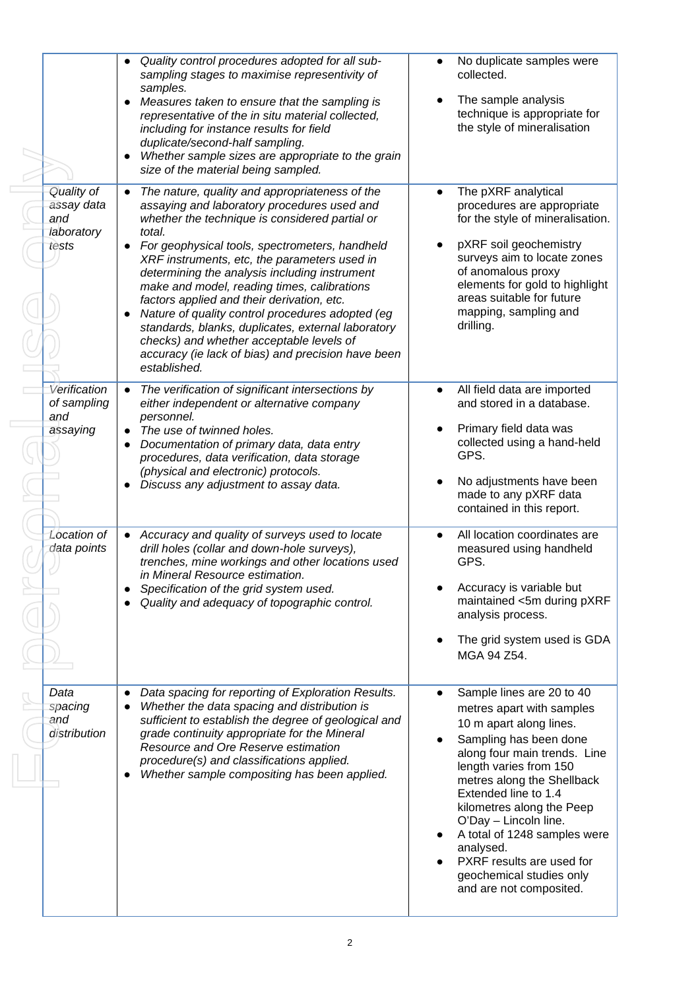|  |                                                        | Quality control procedures adopted for all sub-<br>$\bullet$<br>sampling stages to maximise representivity of<br>samples.<br>Measures taken to ensure that the sampling is<br>$\bullet$<br>representative of the in situ material collected,<br>including for instance results for field<br>duplicate/second-half sampling.<br>Whether sample sizes are appropriate to the grain<br>$\bullet$<br>size of the material being sampled.                                                                                                                                                                                                               | No duplicate samples were<br>collected.<br>The sample analysis<br>technique is appropriate for<br>the style of mineralisation                                                                                                                                                                                                                                                                                                   |
|--|--------------------------------------------------------|----------------------------------------------------------------------------------------------------------------------------------------------------------------------------------------------------------------------------------------------------------------------------------------------------------------------------------------------------------------------------------------------------------------------------------------------------------------------------------------------------------------------------------------------------------------------------------------------------------------------------------------------------|---------------------------------------------------------------------------------------------------------------------------------------------------------------------------------------------------------------------------------------------------------------------------------------------------------------------------------------------------------------------------------------------------------------------------------|
|  | Quality of<br>assay data<br>and<br>laboratory<br>tests | The nature, quality and appropriateness of the<br>$\bullet$<br>assaying and laboratory procedures used and<br>whether the technique is considered partial or<br>total.<br>For geophysical tools, spectrometers, handheld<br>XRF instruments, etc, the parameters used in<br>determining the analysis including instrument<br>make and model, reading times, calibrations<br>factors applied and their derivation, etc.<br>Nature of quality control procedures adopted (eg<br>standards, blanks, duplicates, external laboratory<br>checks) and whether acceptable levels of<br>accuracy (ie lack of bias) and precision have been<br>established. | The pXRF analytical<br>$\bullet$<br>procedures are appropriate<br>for the style of mineralisation.<br>pXRF soil geochemistry<br>surveys aim to locate zones<br>of anomalous proxy<br>elements for gold to highlight<br>areas suitable for future<br>mapping, sampling and<br>drilling.                                                                                                                                          |
|  | Verification<br>of sampling<br>and<br>assaying         | The verification of significant intersections by<br>$\bullet$<br>either independent or alternative company<br>personnel.<br>The use of twinned holes.<br>Documentation of primary data, data entry<br>procedures, data verification, data storage<br>(physical and electronic) protocols.<br>Discuss any adjustment to assay data.                                                                                                                                                                                                                                                                                                                 | All field data are imported<br>$\bullet$<br>and stored in a database.<br>Primary field data was<br>collected using a hand-held<br>GPS.<br>No adjustments have been<br>made to any pXRF data<br>contained in this report.                                                                                                                                                                                                        |
|  | <b>Location of</b><br>data points                      | Accuracy and quality of surveys used to locate<br>$\bullet$<br>drill holes (collar and down-hole surveys),<br>trenches, mine workings and other locations used<br>in Mineral Resource estimation.<br>Specification of the grid system used.<br>Quality and adequacy of topographic control.                                                                                                                                                                                                                                                                                                                                                        | All location coordinates are<br>measured using handheld<br>GPS.<br>Accuracy is variable but<br>maintained <5m during pXRF<br>analysis process.<br>The grid system used is GDA<br>MGA 94 Z54.                                                                                                                                                                                                                                    |
|  | Data<br>spacing<br>and<br>distribution                 | Data spacing for reporting of Exploration Results.<br>Whether the data spacing and distribution is<br>sufficient to establish the degree of geological and<br>grade continuity appropriate for the Mineral<br>Resource and Ore Reserve estimation<br>procedure(s) and classifications applied.<br>Whether sample compositing has been applied.                                                                                                                                                                                                                                                                                                     | Sample lines are 20 to 40<br>$\bullet$<br>metres apart with samples<br>10 m apart along lines.<br>Sampling has been done<br>along four main trends. Line<br>length varies from 150<br>metres along the Shellback<br>Extended line to 1.4<br>kilometres along the Peep<br>O'Day - Lincoln line.<br>A total of 1248 samples were<br>analysed.<br>PXRF results are used for<br>geochemical studies only<br>and are not composited. |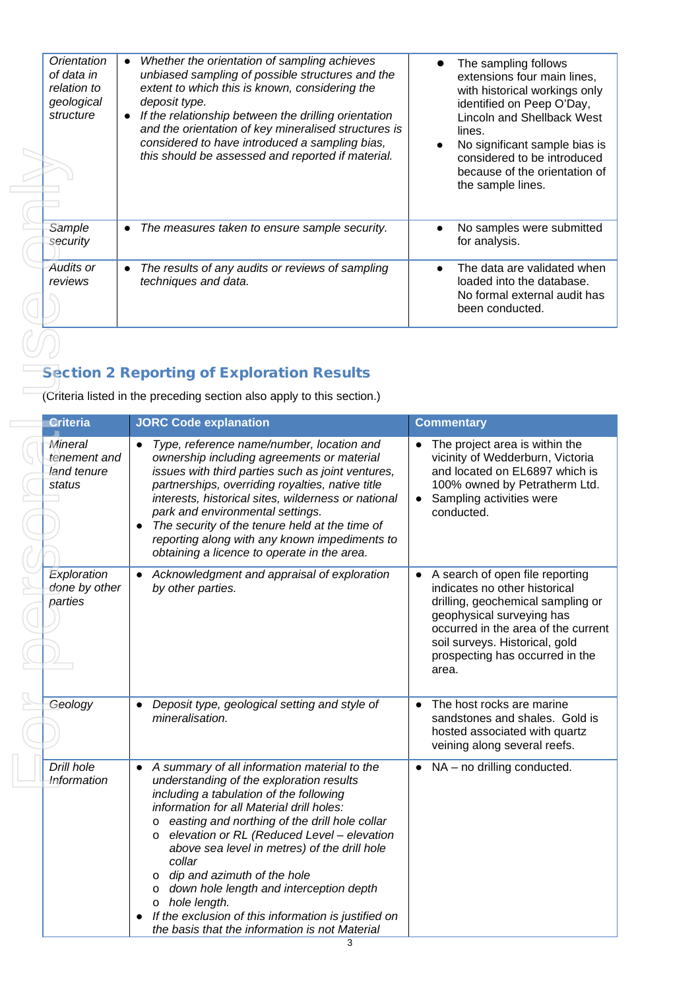|  | Orientation<br>of data in<br>relation to<br>geological<br>structure | Whether the orientation of sampling achieves<br>$\bullet$<br>unbiased sampling of possible structures and the<br>extent to which this is known, considering the<br>deposit type.<br>If the relationship between the drilling orientation<br>$\bullet$<br>and the orientation of key mineralised structures is<br>considered to have introduced a sampling bias,<br>this should be assessed and reported if material. | The sampling follows<br>extensions four main lines,<br>with historical workings only<br>identified on Peep O'Day,<br><b>Lincoln and Shellback West</b><br>lines.<br>No significant sample bias is<br>considered to be introduced<br>because of the orientation of<br>the sample lines. |
|--|---------------------------------------------------------------------|----------------------------------------------------------------------------------------------------------------------------------------------------------------------------------------------------------------------------------------------------------------------------------------------------------------------------------------------------------------------------------------------------------------------|----------------------------------------------------------------------------------------------------------------------------------------------------------------------------------------------------------------------------------------------------------------------------------------|
|  | Sample<br>security                                                  | The measures taken to ensure sample security.<br>$\bullet$                                                                                                                                                                                                                                                                                                                                                           | No samples were submitted<br>for analysis.                                                                                                                                                                                                                                             |
|  | Audits or<br>reviews                                                | The results of any audits or reviews of sampling<br>$\bullet$<br>techniques and data.                                                                                                                                                                                                                                                                                                                                | The data are validated when<br>loaded into the database.<br>No formal external audit has<br>been conducted.                                                                                                                                                                            |
|  |                                                                     |                                                                                                                                                                                                                                                                                                                                                                                                                      |                                                                                                                                                                                                                                                                                        |

## **Section 2 Reporting of Exploration Results**

 $\overline{\phantom{a}}$ 

|  |                                                  | this should be assessed and reported if material.                                                                                                                                                                                                                                                                                                                                                                                                                                                                                                                                      | considered to be introduced<br>because of the orientation of<br>the sample lines.                                                                                                                                                                       |
|--|--------------------------------------------------|----------------------------------------------------------------------------------------------------------------------------------------------------------------------------------------------------------------------------------------------------------------------------------------------------------------------------------------------------------------------------------------------------------------------------------------------------------------------------------------------------------------------------------------------------------------------------------------|---------------------------------------------------------------------------------------------------------------------------------------------------------------------------------------------------------------------------------------------------------|
|  | Sample<br>security                               | The measures taken to ensure sample security.                                                                                                                                                                                                                                                                                                                                                                                                                                                                                                                                          | No samples were submitted<br>for analysis.                                                                                                                                                                                                              |
|  | <b>Audits or</b><br>reviews                      | The results of any audits or reviews of sampling<br>techniques and data.                                                                                                                                                                                                                                                                                                                                                                                                                                                                                                               | The data are validated when<br>loaded into the database.<br>No formal external audit has<br>been conducted.                                                                                                                                             |
|  |                                                  | <b>Section 2 Reporting of Exploration Results</b><br>(Criteria listed in the preceding section also apply to this section.)                                                                                                                                                                                                                                                                                                                                                                                                                                                            |                                                                                                                                                                                                                                                         |
|  | <b>Criteria</b>                                  | <b>JORC Code explanation</b>                                                                                                                                                                                                                                                                                                                                                                                                                                                                                                                                                           | <b>Commentary</b>                                                                                                                                                                                                                                       |
|  | Mineral<br>tenement and<br>land tenure<br>status | Type, reference name/number, location and<br>$\bullet$<br>ownership including agreements or material<br>issues with third parties such as joint ventures,<br>partnerships, overriding royalties, native title<br>interests, historical sites, wilderness or national<br>park and environmental settings.<br>The security of the tenure held at the time of<br>$\bullet$<br>reporting along with any known impediments to<br>obtaining a licence to operate in the area.                                                                                                                | The project area is within the<br>vicinity of Wedderburn, Victoria<br>and located on EL6897 which is<br>100% owned by Petratherm Ltd.<br>Sampling activities were<br>$\bullet$<br>conducted.                                                            |
|  | Exploration<br>done by other<br>parties          | Acknowledgment and appraisal of exploration<br>$\bullet$<br>by other parties.                                                                                                                                                                                                                                                                                                                                                                                                                                                                                                          | A search of open file reporting<br>indicates no other historical<br>drilling, geochemical sampling or<br>geophysical surveying has<br>occurred in the area of the current<br>soil surveys. Historical, gold<br>prospecting has occurred in the<br>area. |
|  | Geology                                          | Deposit type, geological setting and style of<br>$\bullet$<br>mineralisation.                                                                                                                                                                                                                                                                                                                                                                                                                                                                                                          | The host rocks are marine<br>sandstones and shales. Gold is<br>hosted associated with quartz<br>veining along several reefs.                                                                                                                            |
|  | Drill hole<br>Information                        | A summary of all information material to the<br>$\bullet$<br>understanding of the exploration results<br>including a tabulation of the following<br>information for all Material drill holes:<br>easting and northing of the drill hole collar<br>$\circ$<br>o elevation or RL (Reduced Level - elevation<br>above sea level in metres) of the drill hole<br>collar<br>o dip and azimuth of the hole<br>o down hole length and interception depth<br>hole length.<br>$\circ$<br>If the exclusion of this information is justified on<br>the basis that the information is not Material | NA - no drilling conducted.                                                                                                                                                                                                                             |